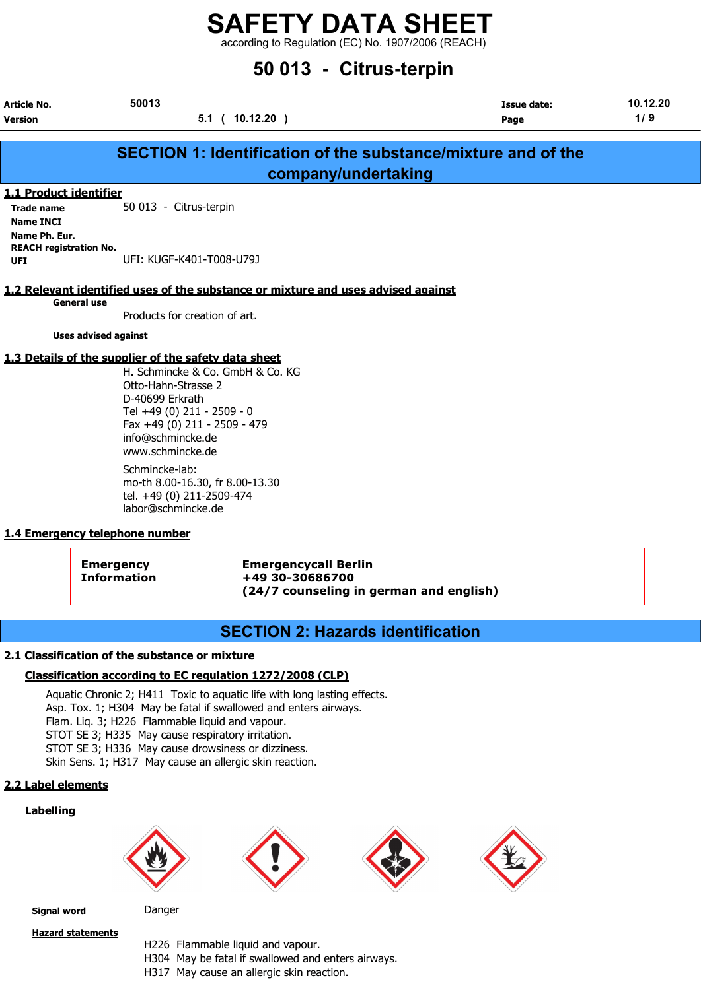according to Regulation (EC) No. 1907/2006 (REACH)

# 50 013 - Citrus-terpin

| Article No.<br><b>Version</b> | 50013<br>$10.12.20$ )<br>5.1 <sub>0</sub> | Issue date:<br>Page                                           | 10.12.20<br>1/9 |
|-------------------------------|-------------------------------------------|---------------------------------------------------------------|-----------------|
|                               |                                           | SECTION 1: Identification of the substance/mixture and of the |                 |
|                               |                                           | company/undertaking                                           |                 |
| 1.1 Product identifier        |                                           |                                                               |                 |
| <b>Trade name</b>             | 50 013 - Citrus-terpin                    |                                                               |                 |
| <b>Name INCI</b>              |                                           |                                                               |                 |
| Name Ph. Eur.                 |                                           |                                                               |                 |
| <b>REACH registration No.</b> |                                           |                                                               |                 |
| UFI                           | UFI: KUGF-K401-T008-U79J                  |                                                               |                 |

#### 1.2 Relevant identified uses of the substance or mixture and uses advised against

General use

Products for creation of art.

Uses advised against

#### 1.3 Details of the supplier of the safety data sheet

H. Schmincke & Co. GmbH & Co. KG Otto-Hahn-Strasse 2 D-40699 Erkrath Tel +49 (0) 211 - 2509 - 0 Fax +49 (0) 211 - 2509 - 479 info@schmincke.de www.schmincke.de Schmincke-lab: mo-th 8.00-16.30, fr 8.00-13.30

tel. +49 (0) 211-2509-474 labor@schmincke.de

#### 1.4 Emergency telephone number

Emergency Emergencycall Berlin Information +49 30-30686700 (24/7 counseling in german and english)

## SECTION 2: Hazards identification

#### 2.1 Classification of the substance or mixture

#### Classification according to EC regulation 1272/2008 (CLP)

Aquatic Chronic 2; H411 Toxic to aquatic life with long lasting effects. Asp. Tox. 1; H304 May be fatal if swallowed and enters airways. Flam. Liq. 3; H226 Flammable liquid and vapour. STOT SE 3; H335 May cause respiratory irritation. STOT SE 3; H336 May cause drowsiness or dizziness. Skin Sens. 1; H317 May cause an allergic skin reaction.

#### 2.2 Label elements

#### Labelling



Signal word Danger

Hazard statements

H226 Flammable liquid and vapour. H304 May be fatal if swallowed and enters airways. H317 May cause an allergic skin reaction.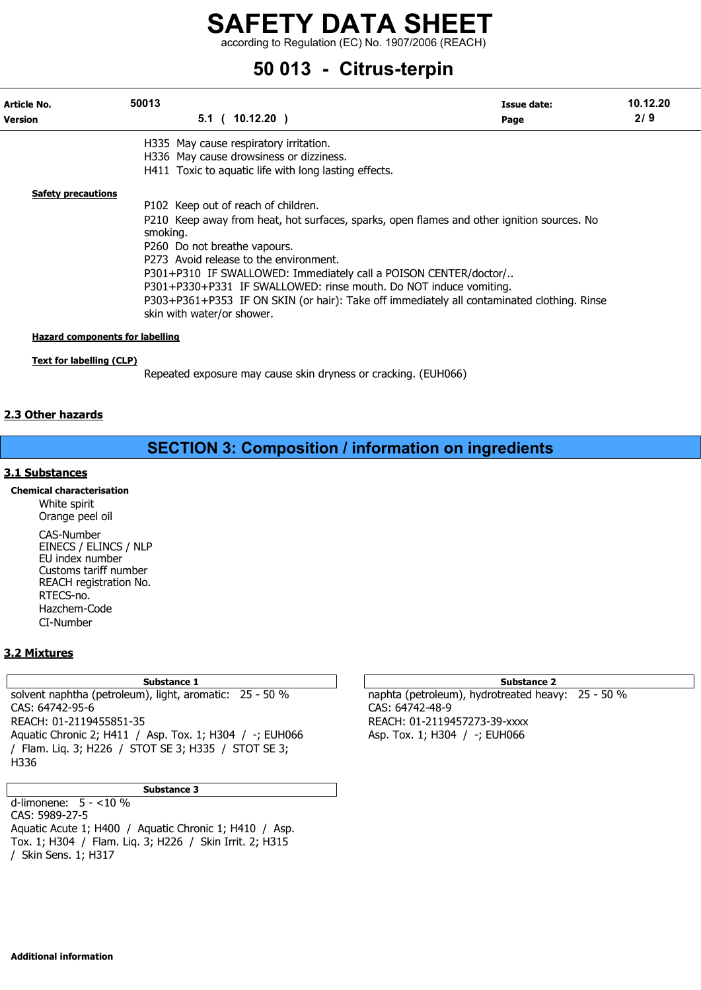according to Regulation (EC) No. 1907/2006 (REACH)

# 50 013 - Citrus-terpin

| Article No.               | 50013                        |                                                                   | Issue date:                                                                                | 10.12.20 |
|---------------------------|------------------------------|-------------------------------------------------------------------|--------------------------------------------------------------------------------------------|----------|
| <b>Version</b>            |                              | $5.1$ ( 10.12.20 )                                                | Page                                                                                       | 2/9      |
|                           |                              | H335 May cause respiratory irritation.                            |                                                                                            |          |
|                           |                              | H336 May cause drowsiness or dizziness.                           |                                                                                            |          |
|                           |                              | H411 Toxic to aquatic life with long lasting effects.             |                                                                                            |          |
| <b>Safety precautions</b> |                              |                                                                   |                                                                                            |          |
|                           |                              | P102 Keep out of reach of children.                               |                                                                                            |          |
|                           |                              |                                                                   | P210 Keep away from heat, hot surfaces, sparks, open flames and other ignition sources. No |          |
|                           | smoking.                     |                                                                   |                                                                                            |          |
|                           | P260 Do not breathe vapours. |                                                                   |                                                                                            |          |
|                           |                              | P273 Avoid release to the environment.                            |                                                                                            |          |
|                           |                              | P301+P310 IF SWALLOWED: Immediately call a POISON CENTER/doctor/  |                                                                                            |          |
|                           |                              | P301+P330+P331 IF SWALLOWED: rinse mouth. Do NOT induce vomiting. |                                                                                            |          |
|                           |                              |                                                                   | P303+P361+P353 IF ON SKIN (or hair): Take off immediately all contaminated clothing. Rinse |          |
|                           | skin with water/or shower.   |                                                                   |                                                                                            |          |

### Text for labelling (CLP)

Repeated exposure may cause skin dryness or cracking. (EUH066)

#### 2.3 Other hazards

## SECTION 3: Composition / information on ingredients

#### 3.1 Substances

Chemical characterisation White spirit Orange peel oil CAS-Number EINECS / ELINCS / NLP EU index number Customs tariff number REACH registration No. RTECS-no. Hazchem-Code CI-Number

#### 3.2 Mixtures

solvent naphtha (petroleum), light, aromatic: 25 - 50 % naphta (petroleum), hydrotreated heavy: 25 - 50 % CAS: 64742-95-6 CAS: 64742-48-9 REACH: 01-2119455851-35 REACH: 01-2119457273-39-xxxx Aquatic Chronic 2; H411 / Asp. Tox. 1; H304 / -; EUH066 Asp. Tox. 1; H304 / -; EUH066 / Flam. Liq. 3; H226 / STOT SE 3; H335 / STOT SE 3; H336

#### Substance 3

d-limonene:  $5 - <10\%$ CAS: 5989-27-5 Aquatic Acute 1; H400 / Aquatic Chronic 1; H410 / Asp. Tox. 1; H304 / Flam. Liq. 3; H226 / Skin Irrit. 2; H315 / Skin Sens. 1; H317

#### Substance 1 and 1 Substance 2 and 1 Substance 2 and 1 Substance 2 and 2 Substance 2 and 2 Substance 2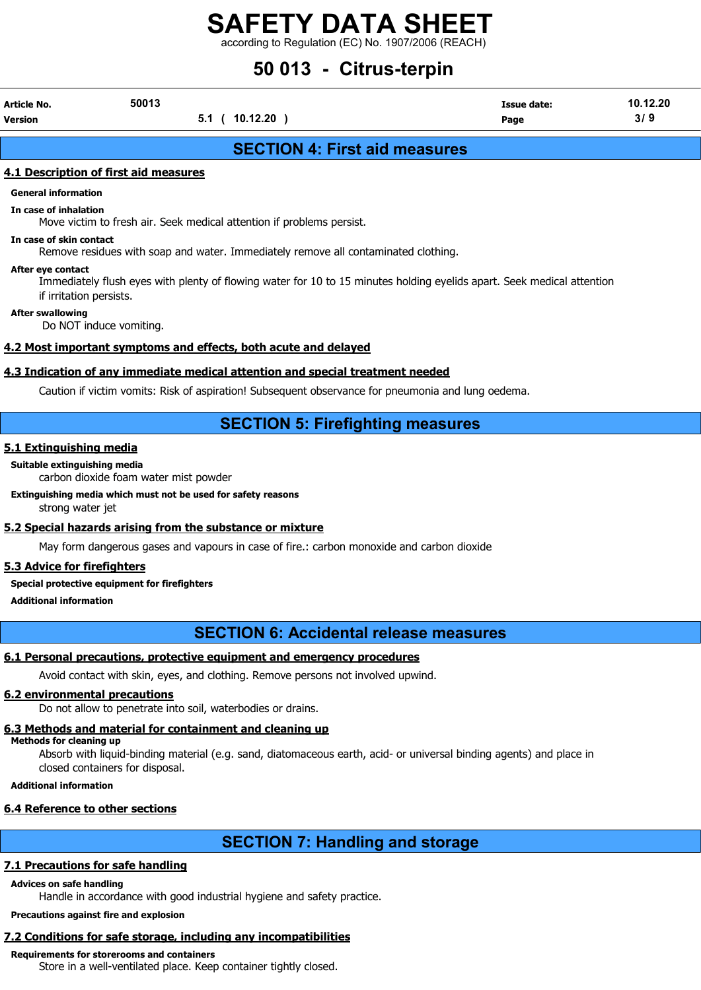according to Regulation (EC) No. 1907/2006 (REACH)

# 50 013 - Citrus-terpin

| Article No. | 50013 | <b>Issue date:</b> | 10.12.20 |
|-------------|-------|--------------------|----------|

Version 5.1 ( 10.12.20 ) Page 3/ 9

## SECTION 4: First aid measures

#### 4.1 Description of first aid measures

#### General information

In case of inhalation

Move victim to fresh air. Seek medical attention if problems persist.

In case of skin contact Remove residues with soap and water. Immediately remove all contaminated clothing.

#### After eye contact

Immediately flush eyes with plenty of flowing water for 10 to 15 minutes holding eyelids apart. Seek medical attention if irritation persists.

#### After swallowing

Do NOT induce vomiting.

#### 4.2 Most important symptoms and effects, both acute and delayed

#### 4.3 Indication of any immediate medical attention and special treatment needed

Caution if victim vomits: Risk of aspiration! Subsequent observance for pneumonia and lung oedema.

## SECTION 5: Firefighting measures

#### 5.1 Extinguishing media

#### Suitable extinguishing media

carbon dioxide foam water mist powder

#### Extinguishing media which must not be used for safety reasons

strong water jet

#### 5.2 Special hazards arising from the substance or mixture

May form dangerous gases and vapours in case of fire.: carbon monoxide and carbon dioxide

#### 5.3 Advice for firefighters

#### Special protective equipment for firefighters

Additional information

## SECTION 6: Accidental release measures

#### 6.1 Personal precautions, protective equipment and emergency procedures

Avoid contact with skin, eyes, and clothing. Remove persons not involved upwind.

#### 6.2 environmental precautions

Do not allow to penetrate into soil, waterbodies or drains.

#### 6.3 Methods and material for containment and cleaning up

#### Methods for cleaning up

Absorb with liquid-binding material (e.g. sand, diatomaceous earth, acid- or universal binding agents) and place in closed containers for disposal.

Additional information

### 6.4 Reference to other sections

# SECTION 7: Handling and storage

### 7.1 Precautions for safe handling

#### Advices on safe handling

Handle in accordance with good industrial hygiene and safety practice.

#### Precautions against fire and explosion

# 7.2 Conditions for safe storage, including any incompatibilities

# Requirements for storerooms and containers

Store in a well-ventilated place. Keep container tightly closed.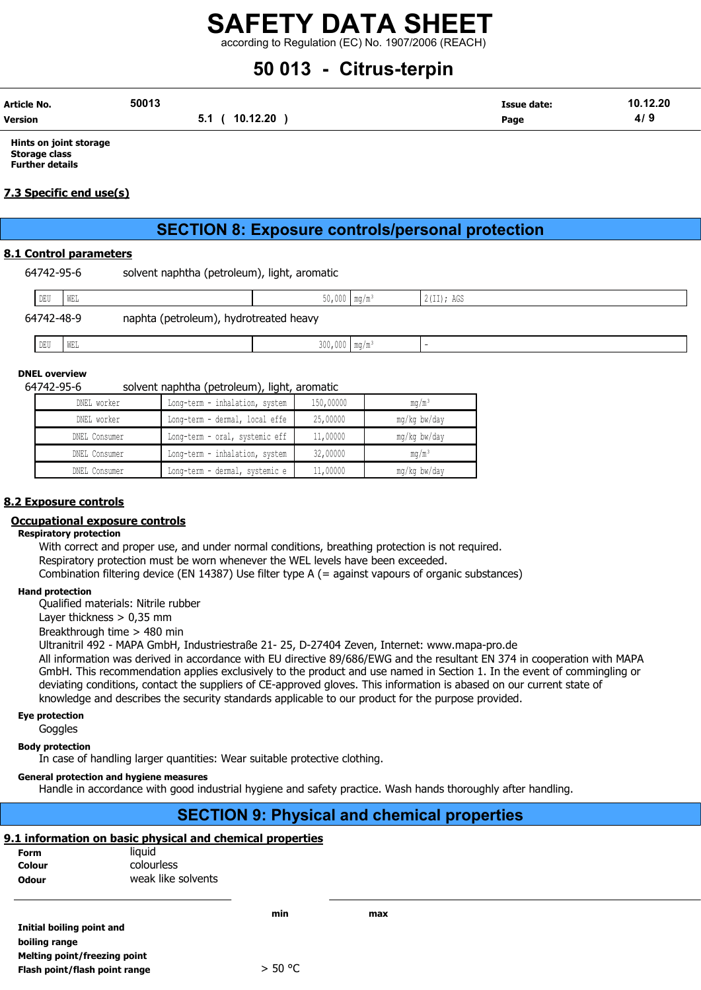according to Regulation (EC) No. 1907/2006 (REACH)

# 50 013 - Citrus-terpin

| Article No.    | 50013                 | Issue date: | 10.12.20 |
|----------------|-----------------------|-------------|----------|
| <b>Version</b> | 0.12.20<br>1 N<br>v.ı | Page        | 4/3      |

Hints on joint storage Storage class Further details

#### 7.3 Specific end use(s)

# SECTION 8: Exposure controls/personal protection

#### 8.1 Control parameters

| 64742-95-6 | solvent naphtha (petroleum), light, aromatic |  |  |
|------------|----------------------------------------------|--|--|
|            |                                              |  |  |

| DEU        | WEL                                    | $50,000$ mg/m <sup>3</sup>  |  | $2$ (II); AGS |  |
|------------|----------------------------------------|-----------------------------|--|---------------|--|
| 64742-48-9 | naphta (petroleum), hydrotreated heavy |                             |  |               |  |
| DEU        | WEL                                    | $300,000$ mq/m <sup>3</sup> |  |               |  |

### DNEL overview

#### 64742-95-6 solvent naphtha (petroleum), light, aromatic

| DNEL worker   | Long-term - inhalation, system | 150,00000 | $mq/m^3$     |
|---------------|--------------------------------|-----------|--------------|
| DNEL worker   | Long-term - dermal, local effe | 25,00000  | mg/kg bw/day |
| DNEL Consumer | Long-term - oral, systemic eff | 11,00000  | mq/kq bw/day |
| DNEL Consumer | Long-term - inhalation, system | 32,00000  | $mq/m^3$     |
| DNEL Consumer | Long-term - dermal, systemic e | 11,00000  | mg/kg bw/day |

#### 8.2 Exposure controls

#### Occupational exposure controls

#### Respiratory protection

With correct and proper use, and under normal conditions, breathing protection is not required. Respiratory protection must be worn whenever the WEL levels have been exceeded. Combination filtering device (EN 14387) Use filter type A (= against vapours of organic substances)

#### Hand protection

Qualified materials: Nitrile rubber

Layer thickness > 0,35 mm

Breakthrough time > 480 min

Ultranitril 492 - MAPA GmbH, Industriestraße 21- 25, D-27404 Zeven, Internet: www.mapa-pro.de

All information was derived in accordance with EU directive 89/686/EWG and the resultant EN 374 in cooperation with MAPA GmbH. This recommendation applies exclusively to the product and use named in Section 1. In the event of commingling or deviating conditions, contact the suppliers of CE-approved gloves. This information is abased on our current state of knowledge and describes the security standards applicable to our product for the purpose provided.

#### Eye protection

**Goggles** 

#### Body protection

In case of handling larger quantities: Wear suitable protective clothing.

#### General protection and hygiene measures

Handle in accordance with good industrial hygiene and safety practice. Wash hands thoroughly after handling.

## SECTION 9: Physical and chemical properties

#### 9.1 information on basic physical and chemical properties

| <b>Form</b>  | liauid             |
|--------------|--------------------|
| Colour       | colourless         |
| <b>Odour</b> | weak like solvents |

Initial boiling point and boiling range Melting point/freezing point Flash point/flash point range  $> 50 °C$ 

min max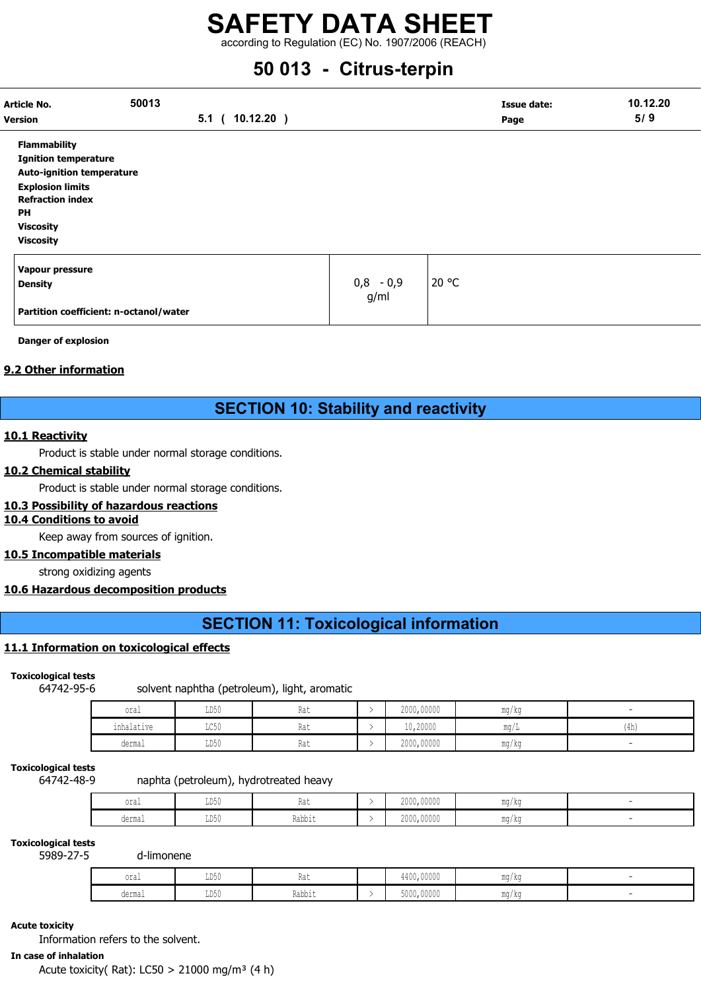according to Regulation (EC) No. 1907/2006 (REACH)

# 50 013 - Citrus-terpin

| <b>Article No.</b>               | 50013                                  |         |              |                     | Issue date: | 10.12.20 |  |
|----------------------------------|----------------------------------------|---------|--------------|---------------------|-------------|----------|--|
| <b>Version</b>                   |                                        | $5.1$ ( | $10.12.20$ ) |                     | Page        | 5/9      |  |
| <b>Flammability</b>              |                                        |         |              |                     |             |          |  |
| <b>Ignition temperature</b>      |                                        |         |              |                     |             |          |  |
| <b>Auto-ignition temperature</b> |                                        |         |              |                     |             |          |  |
| <b>Explosion limits</b>          |                                        |         |              |                     |             |          |  |
| <b>Refraction index</b>          |                                        |         |              |                     |             |          |  |
| PH                               |                                        |         |              |                     |             |          |  |
| <b>Viscosity</b>                 |                                        |         |              |                     |             |          |  |
| <b>Viscosity</b>                 |                                        |         |              |                     |             |          |  |
| Vapour pressure                  |                                        |         |              |                     |             |          |  |
| <b>Density</b>                   |                                        |         |              | $0,8 - 0,9$<br>g/ml | 20 °C       |          |  |
|                                  | Partition coefficient: n-octanol/water |         |              |                     |             |          |  |

Danger of explosion

#### 9.2 Other information

## SECTION 10: Stability and reactivity

#### 10.1 Reactivity

Product is stable under normal storage conditions.

#### 10.2 Chemical stability

Product is stable under normal storage conditions.

#### 10.3 Possibility of hazardous reactions

#### 10.4 Conditions to avoid

Keep away from sources of ignition.

#### 10.5 Incompatible materials

strong oxidizing agents

#### 10.6 Hazardous decomposition products

# SECTION 11: Toxicological information

#### 11.1 Information on toxicological effects

#### Toxicological tests

64742-95-6 solvent naphtha (petroleum), light, aromatic

| oral            | LD50                    | $D - +$<br>na l | 2000,00000 | mg/kg |      |
|-----------------|-------------------------|-----------------|------------|-------|------|
| .<br>inhalative | $T \cap E \cap$<br>コレコロ | $D - +$<br>Kdl  | 10,20000   | mg/I  | (4h) |
| dermal          | LD50                    | Rat             | 2000,00000 | mg/kg |      |

#### Toxicological tests

#### 64742-48-9 naphta (petroleum), hydrotreated heavy

| $\sim$<br>OIdl                                    | $T \times T$<br>⊥⊔∪∪ | na l        | 2000,00000 | ma/ka |  |
|---------------------------------------------------|----------------------|-------------|------------|-------|--|
| derma.<br>u∪⊥illu⊥<br>$\sim$ $\sim$ $\sim$ $\sim$ | <b>TRE</b><br>⊥⊔∪∪   | Rabbit<br>. | 2000,00000 | ma/ka |  |

#### Toxicological tests

5989-27-5 d-limonene

| oral   | T <sub>D</sub> 50<br>∪∪ע | 11 U U | $\cdots$<br>0.000<br>44UU,UUUUU                               | ma/ka<br>1114 / 124                                |  |
|--------|--------------------------|--------|---------------------------------------------------------------|----------------------------------------------------|--|
| dermal | LD50                     | Rabbit | .<br>$F \wedge \wedge \wedge$<br>JUUU, UUUUU<br>$\sim$ $\sim$ | <b>MA OH</b><br>∴ı∩ / kr<br><b>JY4</b><br>$\cdots$ |  |

#### Acute toxicity

Information refers to the solvent.

### In case of inhalation

Acute toxicity( Rat): LC50 > 21000 mg/m<sup>3</sup> (4 h)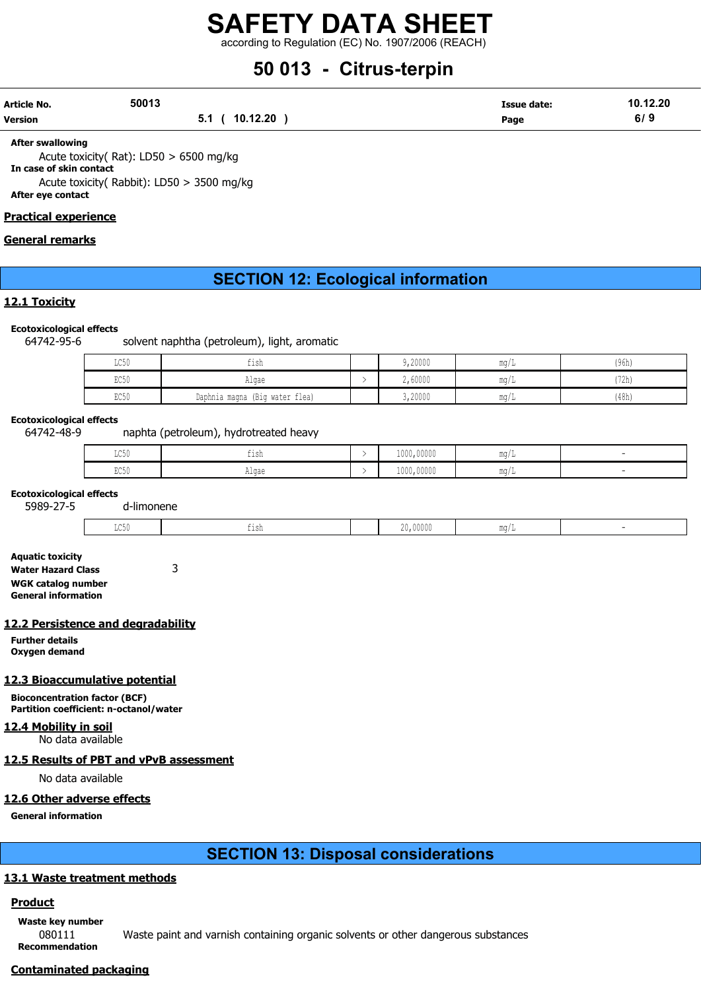according to Regulation (EC) No. 1907/2006 (REACH)

# 50 013 - Citrus-terpin

| Article No. | 50013 |                | <b>Issue date:</b> | 10.12.20 |
|-------------|-------|----------------|--------------------|----------|
| Version     |       | 5.1 ( 10.12.20 | Page               | 6/9      |

After swallowing

Acute toxicity( Rat): LD50 > 6500 mg/kg

In case of skin contact Acute toxicity( Rabbit): LD50 > 3500 mg/kg

#### After eye contact

#### Practical experience

#### General remarks

## SECTION 12: Ecological information

#### 12.1 Toxicity

#### Ecotoxicological effects

64742-95-6 solvent naphtha (petroleum), light, aromatic

| LC50 | $\sim$ 1.<br>tısh                 | 9,20000 | $m \sim$<br>$IIIA$ ) $T$ | (96h) |
|------|-----------------------------------|---------|--------------------------|-------|
| EC50 | Algae                             | 2,60000 | $m \sim$<br>111.U / 11   | '72h) |
| EC50 | (Big water flea)<br>Daphnia magna | 3,20000 | $m \sim$<br>111.U / 11   | (48h) |

#### Ecotoxicological effects

64742-48-9 naphta (petroleum), hydrotreated heavy

| $  -$<br>$\sim$<br>コンマク | $-1$<br>TT2II | 1000,00000 | . .<br>$m \sim$<br>ullu / |  |
|-------------------------|---------------|------------|---------------------------|--|
| コマンマー                   | n⊥uu∪         | 1000,00000 | $m \sim$<br>allu /        |  |

#### Ecotoxicological effects

5989-27-5 d-limonene

| the control of the control of<br>.<br>,00000<br>.<br>.<br>--- |  |  |  |  |
|---------------------------------------------------------------|--|--|--|--|
|                                                               |  |  |  |  |

Aquatic toxicity Water Hazard Class 3 WGK catalog number General information

#### 12.2 Persistence and degradability

Further details Oxygen demand

#### 12.3 Bioaccumulative potential

Bioconcentration factor (BCF) Partition coefficient: n-octanol/water

#### 12.4 Mobility in soil

No data available

#### 12.5 Results of PBT and vPvB assessment

No data available

#### 12.6 Other adverse effects

General information

## SECTION 13: Disposal considerations

#### 13.1 Waste treatment methods

#### **Product**

Waste key number

080111 Waste paint and varnish containing organic solvents or other dangerous substances

Recommendation

Contaminated packaging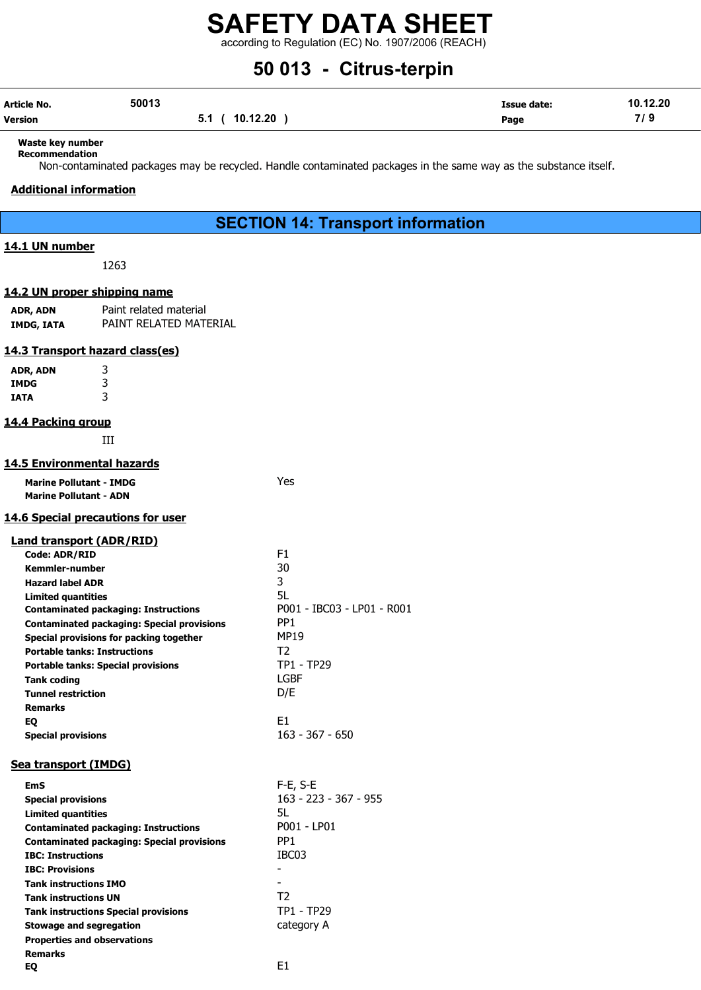according to Regulation (EC) No. 1907/2006 (REACH)

# 50 013 - Citrus-terpin

| Article No. | 50013 |                | Issue date: | 10.12.20 |
|-------------|-------|----------------|-------------|----------|
| Version     |       | 5.1 ( 10.12.20 | Page        | 7/9      |

#### Waste key number Recommendation

Non-contaminated packages may be recycled. Handle contaminated packages in the same way as the substance itself.

#### Additional information

### SECTION 14: Transport information

#### 14.1 UN number

1263

#### 14.2 UN proper shipping name

ADR, ADN Paint related material IMDG, IATA PAINT RELATED MATERIAL

#### 14.3 Transport hazard class(es)

| ADR, ADN | 3 |
|----------|---|
| IMDG     |   |
| IATA     | 3 |

#### 14.4 Packing group

III

#### 14.5 Environmental hazards

| <b>Marine Pollutant - IMDG</b> | Yes |
|--------------------------------|-----|
| <b>Marine Pollutant - ADN</b>  |     |

#### 14.6 Special precautions for user

#### Land transport (ADR/RID)

| F <sub>1</sub>             |
|----------------------------|
| 30                         |
| 3                          |
| 5L                         |
| P001 - IBC03 - LP01 - R001 |
| PP <sub>1</sub>            |
| <b>MP19</b>                |
| T <sub>2</sub>             |
| <b>TP1 - TP29</b>          |
| LGBF                       |
| D/E                        |
|                            |
| E1                         |
| 163 - 367 - 650            |
|                            |

#### Sea transport (IMDG)

| EmS                                               | $F-E$ , S-E           |
|---------------------------------------------------|-----------------------|
| <b>Special provisions</b>                         | 163 - 223 - 367 - 955 |
| <b>Limited quantities</b>                         | 5L                    |
| <b>Contaminated packaging: Instructions</b>       | P001 - LP01           |
| <b>Contaminated packaging: Special provisions</b> | PP <sub>1</sub>       |
| <b>IBC: Instructions</b>                          | IBC <sub>03</sub>     |
| <b>IBC: Provisions</b>                            |                       |
| <b>Tank instructions IMO</b>                      |                       |
| <b>Tank instructions UN</b>                       | T <sub>2</sub>        |
| <b>Tank instructions Special provisions</b>       | TP1 - TP29            |
| <b>Stowage and segregation</b>                    | category A            |
| <b>Properties and observations</b>                |                       |
| <b>Remarks</b>                                    |                       |
| EO                                                | F1                    |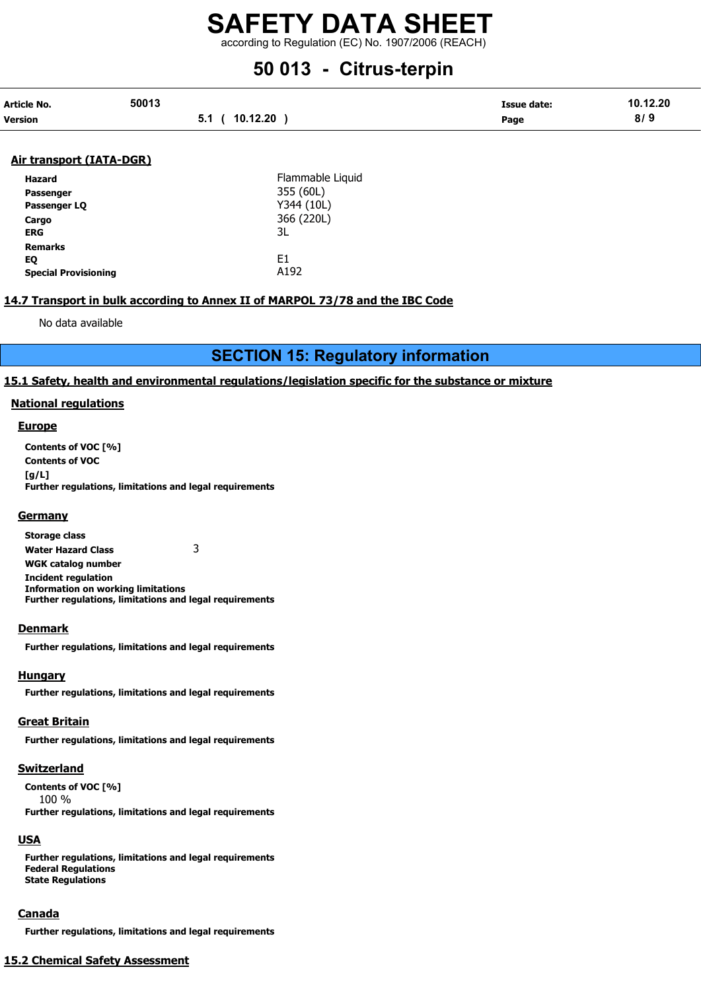according to Regulation (EC) No. 1907/2006 (REACH)

# 50 013 - Citrus-terpin

| Article No.    | 50013 |                     | Issue date: | 10.12.20 |
|----------------|-------|---------------------|-------------|----------|
| <b>Version</b> |       | 10.12.20<br>$5.1$ / | Page        | 8/9      |

#### Air transport (IATA-DGR)

| Hazard                      | Flammable Liquid |
|-----------------------------|------------------|
| Passenger                   | 355 (60L)        |
| Passenger LO                | Y344 (10L)       |
| Cargo                       | 366 (220L)       |
| <b>ERG</b>                  | 3L               |
| <b>Remarks</b>              |                  |
| EQ                          | F1               |
| <b>Special Provisioning</b> | A <sub>192</sub> |

#### 14.7 Transport in bulk according to Annex II of MARPOL 73/78 and the IBC Code

No data available

## SECTION 15: Regulatory information

#### 15.1 Safety, health and environmental regulations/legislation specific for the substance or mixture

#### National regulations

#### **Europe**

Contents of VOC [%] Contents of VOC [g/L] Further regulations, limitations and legal requirements

#### **Germany**

Storage class Water Hazard Class 3 WGK catalog number Incident regulation Information on working limitations Further regulations, limitations and legal requirements

#### **Denmark**

Further regulations, limitations and legal requirements

#### **Hungary**

Further regulations, limitations and legal requirements

#### Great Britain

Further regulations, limitations and legal requirements

#### **Switzerland**

Contents of VOC [%] 100 % Further regulations, limitations and legal requirements

#### **USA**

Further regulations, limitations and legal requirements Federal Regulations State Regulations

#### Canada

Further regulations, limitations and legal requirements

#### 15.2 Chemical Safety Assessment